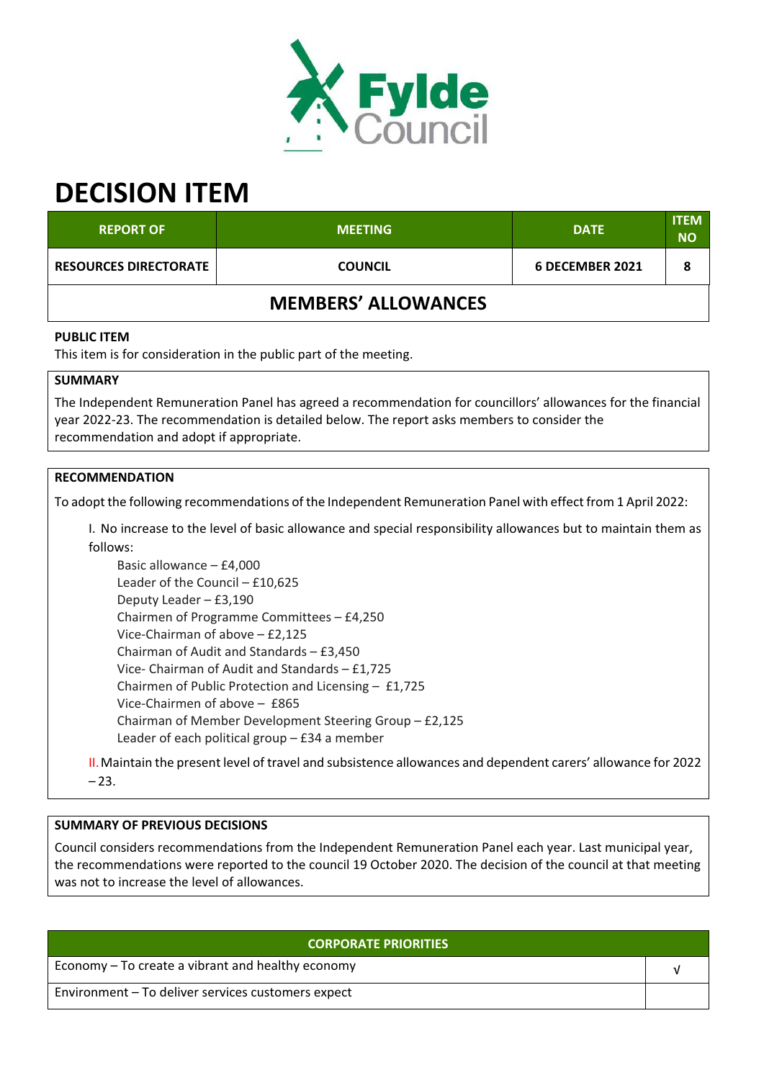

# **DECISION ITEM**

| <b>REPORT OF</b>             | <b>MEETING</b>             | <b>DATE</b>     | <b>ITEM</b><br><b>NO</b> |
|------------------------------|----------------------------|-----------------|--------------------------|
| <b>RESOURCES DIRECTORATE</b> | <b>COUNCIL</b>             | 6 DECEMBER 2021 | 8                        |
|                              | <b>MEMBERS' ALLOWANCES</b> |                 |                          |

#### **PUBLIC ITEM**

This item is for consideration in the public part of the meeting.

## **SUMMARY**

The Independent Remuneration Panel has agreed a recommendation for councillors' allowances for the financial year 2022‐23. The recommendation is detailed below. The report asks members to consider the recommendation and adopt if appropriate.

#### **RECOMMENDATION**

To adopt the following recommendations of the Independent Remuneration Panel with effect from 1 April 2022:

I. No increase to the level of basic allowance and special responsibility allowances but to maintain them as follows:

Basic allowance – £4,000 Leader of the Council – £10,625 Deputy Leader – £3,190 Chairmen of Programme Committees – £4,250 Vice‐Chairman of above – £2,125 Chairman of Audit and Standards – £3,450 Vice‐ Chairman of Audit and Standards – £1,725 Chairmen of Public Protection and Licensing – £1,725 Vice‐Chairmen of above – £865 Chairman of Member Development Steering Group – £2,125 Leader of each political group – £34 a member

II.Maintain the present level of travel and subsistence allowances and dependent carers' allowance for 2022  $-23.$ 

## **SUMMARY OF PREVIOUS DECISIONS**

Council considers recommendations from the Independent Remuneration Panel each year. Last municipal year, the recommendations were reported to the council 19 October 2020. The decision of the council at that meeting was not to increase the level of allowances.

| <b>CORPORATE PRIORITIES</b>                        |  |
|----------------------------------------------------|--|
| Economy – To create a vibrant and healthy economy  |  |
| Environment - To deliver services customers expect |  |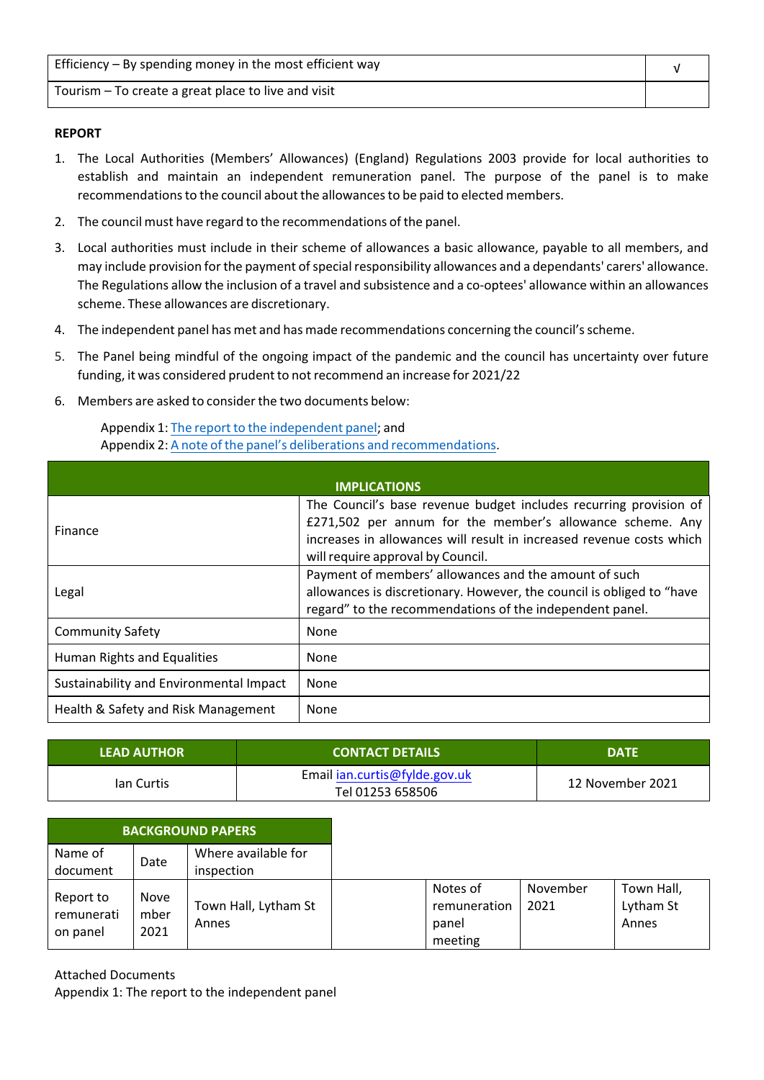| Efficiency $-$ By spending money in the most efficient way |  |
|------------------------------------------------------------|--|
| Tourism – To create a great place to live and visit        |  |

#### **REPORT**

- 1. The Local Authorities (Members' Allowances) (England) Regulations 2003 provide for local authorities to establish and maintain an independent remuneration panel. The purpose of the panel is to make recommendations to the council about the allowances to be paid to elected members.
- 2. The council must have regard to the recommendations of the panel.
- 3. Local authorities must include in their scheme of allowances a basic allowance, payable to all members, and may include provision for the payment of special responsibility allowances and a dependants' carers' allowance. The Regulations allow the inclusion of a travel and subsistence and a co‐optees' allowance within an allowances scheme. These allowances are discretionary.
- 4. The independent panel has met and has made recommendations concerning the council'sscheme.
- 5. The Panel being mindful of the ongoing impact of the pandemic and the council has uncertainty over future funding, it was considered prudent to not recommend an increase for 2021/22
- 6. Members are asked to considerthe two documents below:

Appendix 1: The report to the independent panel; and Appendix 2: A note of the panel's deliberations and recommendations.

|                                         | <b>IMPLICATIONS</b>                                                                                                                                                                                                                         |
|-----------------------------------------|---------------------------------------------------------------------------------------------------------------------------------------------------------------------------------------------------------------------------------------------|
| <b>Finance</b>                          | The Council's base revenue budget includes recurring provision of<br>£271,502 per annum for the member's allowance scheme. Any<br>increases in allowances will result in increased revenue costs which<br>will require approval by Council. |
| Legal                                   | Payment of members' allowances and the amount of such<br>allowances is discretionary. However, the council is obliged to "have<br>regard" to the recommendations of the independent panel.                                                  |
| <b>Community Safety</b>                 | None                                                                                                                                                                                                                                        |
| Human Rights and Equalities             | None                                                                                                                                                                                                                                        |
| Sustainability and Environmental Impact | None                                                                                                                                                                                                                                        |
| Health & Safety and Risk Management     | None                                                                                                                                                                                                                                        |

| <b>LEAD AUTHOR</b> | <b>CONTACT DETAILS</b>                            | <b>DATE</b>      |
|--------------------|---------------------------------------------------|------------------|
| lan Curtis         | Email ian.curtis@fylde.gov.uk<br>Tel 01253 658506 | 12 November 2021 |

| <b>BACKGROUND PAPERS</b>            |                      |                                   |
|-------------------------------------|----------------------|-----------------------------------|
| Name of<br>document                 | Date                 | Where available for<br>inspection |
| Report to<br>remunerati<br>on panel | Nove<br>mber<br>2021 | Town Hall, Lytham St<br>Annes     |

Attached Documents

Appendix 1: The report to the independent panel